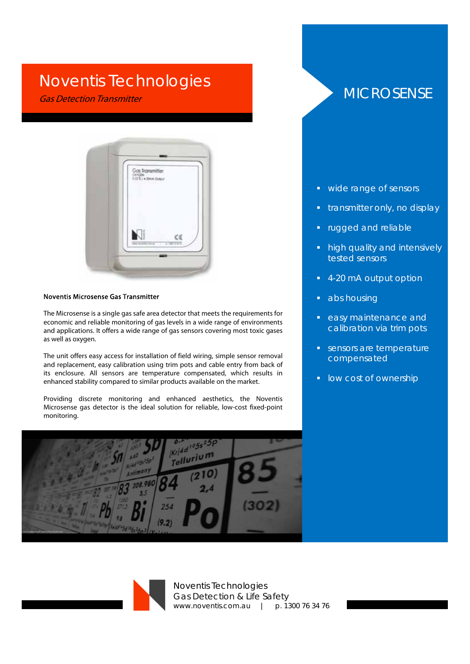## Noventis Technologies

Gas Detection Transmitter



## Noventis Microsense Gas Transmitter

The Microsense is a single gas safe area detector that meets the requirements for economic and reliable monitoring of gas levels in a wide range of environments and applications. It offers a wide range of gas sensors covering most toxic gases as well as oxygen.

The unit offers easy access for installation of field wiring, simple sensor removal and replacement, easy calibration using trim pots and cable entry from back of its enclosure. All sensors are temperature compensated, which results in enhanced stability compared to similar products available on the market.

Providing discrete monitoring and enhanced aesthetics, the Noventis Microsense gas detector is the ideal solution for reliable, low-cost fixed-point monitoring.



## **MICROSENSE**

- wide range of sensors
- transmitter only, no display
- rugged and reliable
- **high quality and intensively** tested sensors
- 4-20 mA output option
- abs housing
- easy maintenance and calibration via trim pots
- sensors are temperature compensated
- **I** low cost of ownership